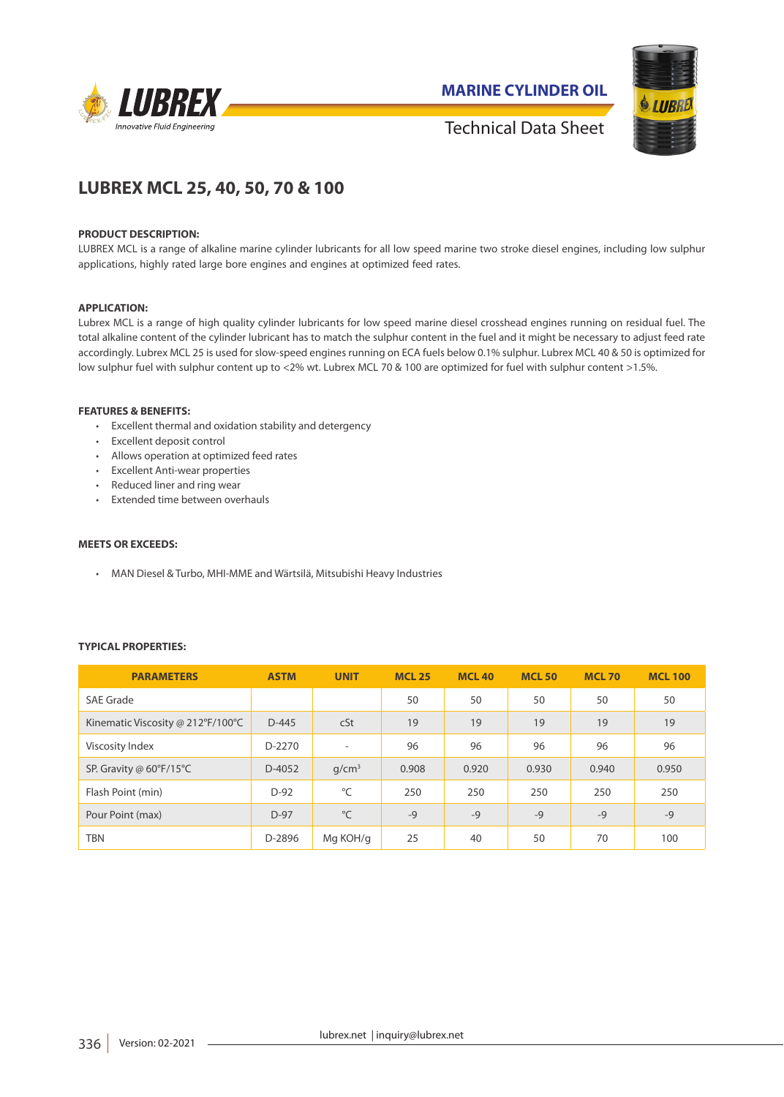

**MARINE CYLINDER OIL**



Technical Data Sheet

# **LUBREX MCL 25, 40, 50, 70 & 100**

## **PRODUCT DESCRIPTION:**

LUBREX MCL is a range of alkaline marine cylinder lubricants for all low speed marine two stroke diesel engines, including low sulphur applications, highly rated large bore engines and engines at optimized feed rates.

# **APPLICATION:**

Lubrex MCL is a range of high quality cylinder lubricants for low speed marine diesel crosshead engines running on residual fuel. The total alkaline content of the cylinder lubricant has to match the sulphur content in the fuel and it might be necessary to adjust feed rate accordingly. Lubrex MCL 25 is used for slow-speed engines running on ECA fuels below 0.1% sulphur. Lubrex MCL 40 & 50 is optimized for low sulphur fuel with sulphur content up to <2% wt. Lubrex MCL 70 & 100 are optimized for fuel with sulphur content >1.5%.

## **FEATURES & BENEFITS:**

- Excellent thermal and oxidation stability and detergency
- Excellent deposit control
- Allows operation at optimized feed rates
- Excellent Anti-wear properties
- Reduced liner and ring wear
- Extended time between overhauls

## **MEETS OR EXCEEDS:**

• MAN Diesel & Turbo, MHI-MME and Wärtsilä, Mitsubishi Heavy Industries

# **TYPICAL PROPERTIES:**

| <b>PARAMETERS</b>                 | <b>ASTM</b> | <b>UNIT</b>       | <b>MCL 25</b> | <b>MCL 40</b> | <b>MCL50</b> | <b>MCL70</b> | <b>MCL 100</b> |
|-----------------------------------|-------------|-------------------|---------------|---------------|--------------|--------------|----------------|
| SAE Grade                         |             |                   | 50            | 50            | 50           | 50           | 50             |
| Kinematic Viscosity @ 212°F/100°C | $D-445$     | cSt               | 19            | 19            | 19           | 19           | 19             |
| Viscosity Index                   | $D-2270$    | ٠                 | 96            | 96            | 96           | 96           | 96             |
| SP. Gravity @ 60°F/15°C           | $D-4052$    | q/cm <sup>3</sup> | 0.908         | 0.920         | 0.930        | 0.940        | 0.950          |
| Flash Point (min)                 | $D-92$      | °C                | 250           | 250           | 250          | 250          | 250            |
| Pour Point (max)                  | $D-97$      | °C                | $-9$          | $-9$          | $-9$         | $-9$         | $-9$           |
| TBN                               | D-2896      | Mg KOH/g          | 25            | 40            | 50           | 70           | 100            |